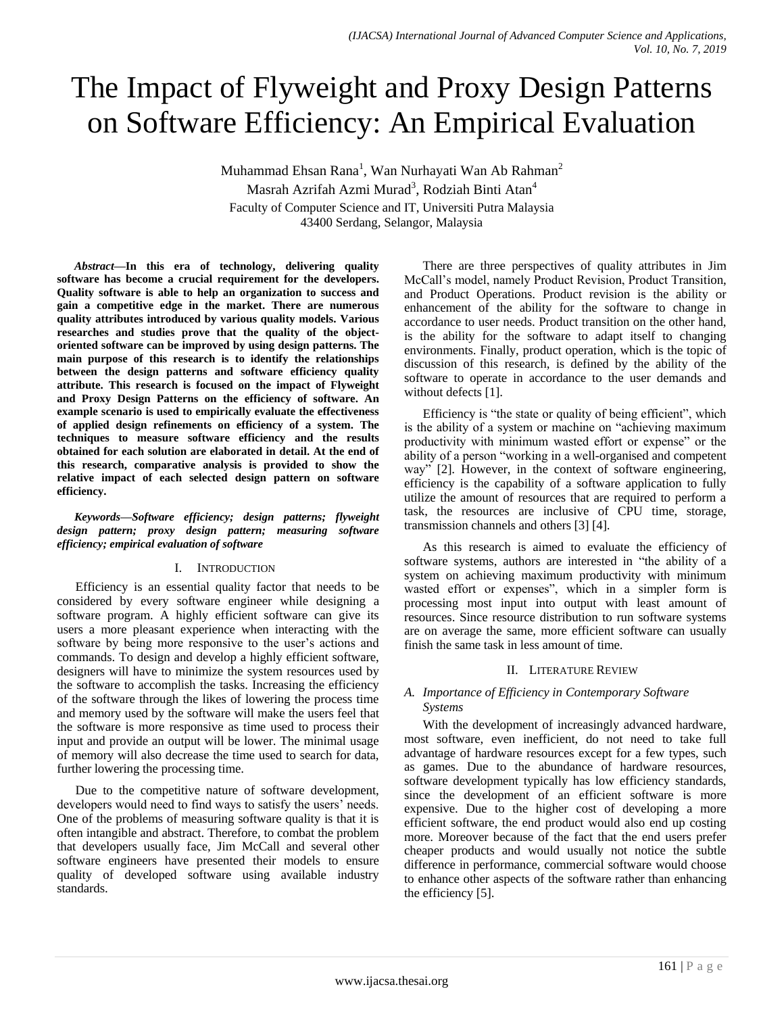# The Impact of Flyweight and Proxy Design Patterns on Software Efficiency: An Empirical Evaluation

Muhammad Ehsan Rana<sup>1</sup>, Wan Nurhayati Wan Ab Rahman<sup>2</sup> Masrah Azrifah Azmi Murad<sup>3</sup>, Rodziah Binti Atan<sup>4</sup> Faculty of Computer Science and IT, Universiti Putra Malaysia 43400 Serdang, Selangor, Malaysia

*Abstract***—In this era of technology, delivering quality software has become a crucial requirement for the developers. Quality software is able to help an organization to success and gain a competitive edge in the market. There are numerous quality attributes introduced by various quality models. Various researches and studies prove that the quality of the objectoriented software can be improved by using design patterns. The main purpose of this research is to identify the relationships between the design patterns and software efficiency quality attribute. This research is focused on the impact of Flyweight and Proxy Design Patterns on the efficiency of software. An example scenario is used to empirically evaluate the effectiveness of applied design refinements on efficiency of a system. The techniques to measure software efficiency and the results obtained for each solution are elaborated in detail. At the end of this research, comparative analysis is provided to show the relative impact of each selected design pattern on software efficiency.**

*Keywords—Software efficiency; design patterns; flyweight design pattern; proxy design pattern; measuring software efficiency; empirical evaluation of software*

## I. INTRODUCTION

Efficiency is an essential quality factor that needs to be considered by every software engineer while designing a software program. A highly efficient software can give its users a more pleasant experience when interacting with the software by being more responsive to the user's actions and commands. To design and develop a highly efficient software, designers will have to minimize the system resources used by the software to accomplish the tasks. Increasing the efficiency of the software through the likes of lowering the process time and memory used by the software will make the users feel that the software is more responsive as time used to process their input and provide an output will be lower. The minimal usage of memory will also decrease the time used to search for data, further lowering the processing time.

Due to the competitive nature of software development, developers would need to find ways to satisfy the users' needs. One of the problems of measuring software quality is that it is often intangible and abstract. Therefore, to combat the problem that developers usually face, Jim McCall and several other software engineers have presented their models to ensure quality of developed software using available industry standards.

There are three perspectives of quality attributes in Jim McCall's model, namely Product Revision, Product Transition, and Product Operations. Product revision is the ability or enhancement of the ability for the software to change in accordance to user needs. Product transition on the other hand, is the ability for the software to adapt itself to changing environments. Finally, product operation, which is the topic of discussion of this research, is defined by the ability of the software to operate in accordance to the user demands and without defects [1].

Efficiency is "the state or quality of being efficient", which is the ability of a system or machine on "achieving maximum productivity with minimum wasted effort or expense" or the ability of a person "working in a well-organised and competent way" [2]. However, in the context of software engineering, efficiency is the capability of a software application to fully utilize the amount of resources that are required to perform a task, the resources are inclusive of CPU time, storage, transmission channels and others [3] [4].

As this research is aimed to evaluate the efficiency of software systems, authors are interested in "the ability of a system on achieving maximum productivity with minimum wasted effort or expenses", which in a simpler form is processing most input into output with least amount of resources. Since resource distribution to run software systems are on average the same, more efficient software can usually finish the same task in less amount of time.

## II. LITERATURE REVIEW

# *A. Importance of Efficiency in Contemporary Software Systems*

With the development of increasingly advanced hardware, most software, even inefficient, do not need to take full advantage of hardware resources except for a few types, such as games. Due to the abundance of hardware resources, software development typically has low efficiency standards, since the development of an efficient software is more expensive. Due to the higher cost of developing a more efficient software, the end product would also end up costing more. Moreover because of the fact that the end users prefer cheaper products and would usually not notice the subtle difference in performance, commercial software would choose to enhance other aspects of the software rather than enhancing the efficiency [5].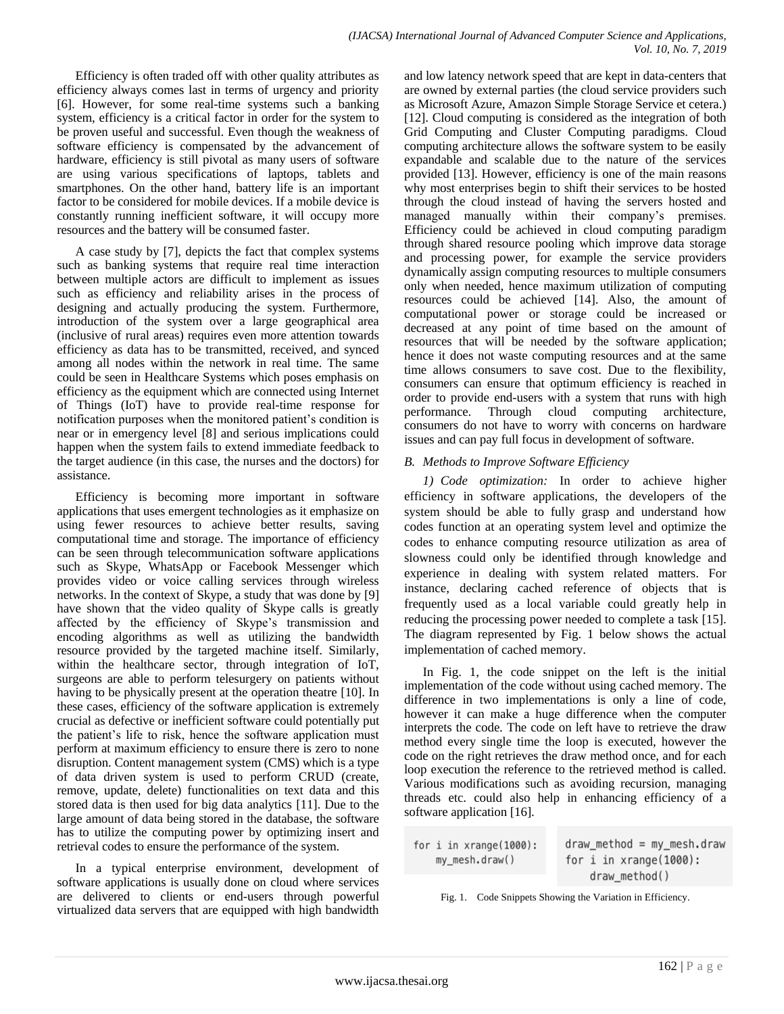Efficiency is often traded off with other quality attributes as efficiency always comes last in terms of urgency and priority [6]. However, for some real-time systems such a banking system, efficiency is a critical factor in order for the system to be proven useful and successful. Even though the weakness of software efficiency is compensated by the advancement of hardware, efficiency is still pivotal as many users of software are using various specifications of laptops, tablets and smartphones. On the other hand, battery life is an important factor to be considered for mobile devices. If a mobile device is constantly running inefficient software, it will occupy more resources and the battery will be consumed faster.

A case study by [7], depicts the fact that complex systems such as banking systems that require real time interaction between multiple actors are difficult to implement as issues such as efficiency and reliability arises in the process of designing and actually producing the system. Furthermore, introduction of the system over a large geographical area (inclusive of rural areas) requires even more attention towards efficiency as data has to be transmitted, received, and synced among all nodes within the network in real time. The same could be seen in Healthcare Systems which poses emphasis on efficiency as the equipment which are connected using Internet of Things (IoT) have to provide real-time response for notification purposes when the monitored patient's condition is near or in emergency level [8] and serious implications could happen when the system fails to extend immediate feedback to the target audience (in this case, the nurses and the doctors) for assistance.

Efficiency is becoming more important in software applications that uses emergent technologies as it emphasize on using fewer resources to achieve better results, saving computational time and storage. The importance of efficiency can be seen through telecommunication software applications such as Skype, WhatsApp or Facebook Messenger which provides video or voice calling services through wireless networks. In the context of Skype, a study that was done by [9] have shown that the video quality of Skype calls is greatly affected by the efficiency of Skype's transmission and encoding algorithms as well as utilizing the bandwidth resource provided by the targeted machine itself. Similarly, within the healthcare sector, through integration of IoT, surgeons are able to perform telesurgery on patients without having to be physically present at the operation theatre [10]. In these cases, efficiency of the software application is extremely crucial as defective or inefficient software could potentially put the patient's life to risk, hence the software application must perform at maximum efficiency to ensure there is zero to none disruption. Content management system (CMS) which is a type of data driven system is used to perform CRUD (create, remove, update, delete) functionalities on text data and this stored data is then used for big data analytics [11]. Due to the large amount of data being stored in the database, the software has to utilize the computing power by optimizing insert and retrieval codes to ensure the performance of the system.

In a typical enterprise environment, development of software applications is usually done on cloud where services are delivered to clients or end-users through powerful virtualized data servers that are equipped with high bandwidth

and low latency network speed that are kept in data-centers that are owned by external parties (the cloud service providers such as Microsoft Azure, Amazon Simple Storage Service et cetera.) [12]. Cloud computing is considered as the integration of both Grid Computing and Cluster Computing paradigms. Cloud computing architecture allows the software system to be easily expandable and scalable due to the nature of the services provided [13]. However, efficiency is one of the main reasons why most enterprises begin to shift their services to be hosted through the cloud instead of having the servers hosted and managed manually within their company's premises. Efficiency could be achieved in cloud computing paradigm through shared resource pooling which improve data storage and processing power, for example the service providers dynamically assign computing resources to multiple consumers only when needed, hence maximum utilization of computing resources could be achieved [14]. Also, the amount of computational power or storage could be increased or decreased at any point of time based on the amount of resources that will be needed by the software application; hence it does not waste computing resources and at the same time allows consumers to save cost. Due to the flexibility, consumers can ensure that optimum efficiency is reached in order to provide end-users with a system that runs with high performance. Through cloud computing architecture, consumers do not have to worry with concerns on hardware issues and can pay full focus in development of software.

# *B. Methods to Improve Software Efficiency*

*1) Code optimization:* In order to achieve higher efficiency in software applications, the developers of the system should be able to fully grasp and understand how codes function at an operating system level and optimize the codes to enhance computing resource utilization as area of slowness could only be identified through knowledge and experience in dealing with system related matters. For instance, declaring cached reference of objects that is frequently used as a local variable could greatly help in reducing the processing power needed to complete a task [15]. The diagram represented by Fig. 1 below shows the actual implementation of cached memory.

In Fig. 1, the code snippet on the left is the initial implementation of the code without using cached memory. The difference in two implementations is only a line of code, however it can make a huge difference when the computer interprets the code. The code on left have to retrieve the draw method every single time the loop is executed, however the code on the right retrieves the draw method once, and for each loop execution the reference to the retrieved method is called. Various modifications such as avoiding recursion, managing threads etc. could also help in enhancing efficiency of a software application [16].

| for $i$ in $x$ range $(1000):$ | $draw$ method = my_mesh.draw   |
|--------------------------------|--------------------------------|
| my mesh.draw()                 | for $i$ in $x$ range $(1000):$ |
|                                | draw_method()                  |

Fig. 1. Code Snippets Showing the Variation in Efficiency.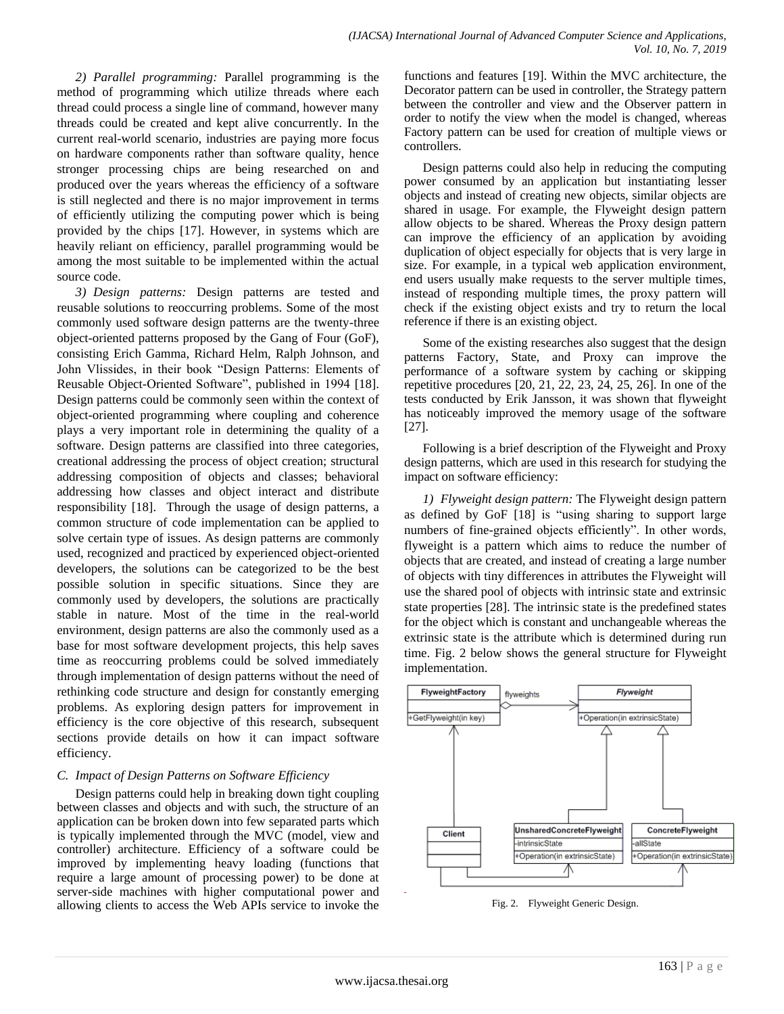*2) Parallel programming:* Parallel programming is the method of programming which utilize threads where each thread could process a single line of command, however many threads could be created and kept alive concurrently. In the current real-world scenario, industries are paying more focus on hardware components rather than software quality, hence stronger processing chips are being researched on and produced over the years whereas the efficiency of a software is still neglected and there is no major improvement in terms of efficiently utilizing the computing power which is being provided by the chips [17]. However, in systems which are heavily reliant on efficiency, parallel programming would be among the most suitable to be implemented within the actual source code.

*3) Design patterns:* Design patterns are tested and reusable solutions to reoccurring problems. Some of the most commonly used software design patterns are the twenty-three object-oriented patterns proposed by the Gang of Four (GoF), consisting Erich Gamma, Richard Helm, Ralph Johnson, and John Vlissides, in their book "Design Patterns: Elements of Reusable Object-Oriented Software", published in 1994 [18]. Design patterns could be commonly seen within the context of object-oriented programming where coupling and coherence plays a very important role in determining the quality of a software. Design patterns are classified into three categories, creational addressing the process of object creation; structural addressing composition of objects and classes; behavioral addressing how classes and object interact and distribute responsibility [18]. Through the usage of design patterns, a common structure of code implementation can be applied to solve certain type of issues. As design patterns are commonly used, recognized and practiced by experienced object-oriented developers, the solutions can be categorized to be the best possible solution in specific situations. Since they are commonly used by developers, the solutions are practically stable in nature. Most of the time in the real-world environment, design patterns are also the commonly used as a base for most software development projects, this help saves time as reoccurring problems could be solved immediately through implementation of design patterns without the need of rethinking code structure and design for constantly emerging problems. As exploring design patters for improvement in efficiency is the core objective of this research, subsequent sections provide details on how it can impact software efficiency.

# *C. Impact of Design Patterns on Software Efficiency*

Design patterns could help in breaking down tight coupling between classes and objects and with such, the structure of an application can be broken down into few separated parts which is typically implemented through the MVC (model, view and controller) architecture. Efficiency of a software could be improved by implementing heavy loading (functions that require a large amount of processing power) to be done at server-side machines with higher computational power and allowing clients to access the Web APIs service to invoke the functions and features [19]. Within the MVC architecture, the Decorator pattern can be used in controller, the Strategy pattern between the controller and view and the Observer pattern in order to notify the view when the model is changed, whereas Factory pattern can be used for creation of multiple views or controllers.

Design patterns could also help in reducing the computing power consumed by an application but instantiating lesser objects and instead of creating new objects, similar objects are shared in usage. For example, the Flyweight design pattern allow objects to be shared. Whereas the Proxy design pattern can improve the efficiency of an application by avoiding duplication of object especially for objects that is very large in size. For example, in a typical web application environment, end users usually make requests to the server multiple times, instead of responding multiple times, the proxy pattern will check if the existing object exists and try to return the local reference if there is an existing object.

Some of the existing researches also suggest that the design patterns Factory, State, and Proxy can improve the performance of a software system by caching or skipping repetitive procedures [20, 21, 22, 23, 24, 25, 26]. In one of the tests conducted by Erik Jansson, it was shown that flyweight has noticeably improved the memory usage of the software [27].

Following is a brief description of the Flyweight and Proxy design patterns, which are used in this research for studying the impact on software efficiency:

*1) Flyweight design pattern:* The Flyweight design pattern as defined by GoF [18] is "using sharing to support large numbers of fine-grained objects efficiently". In other words, flyweight is a pattern which aims to reduce the number of objects that are created, and instead of creating a large number of objects with tiny differences in attributes the Flyweight will use the shared pool of objects with intrinsic state and extrinsic state properties [28]. The intrinsic state is the predefined states for the object which is constant and unchangeable whereas the extrinsic state is the attribute which is determined during run time. Fig. 2 below shows the general structure for Flyweight implementation.



Fig. 2. Flyweight Generic Design.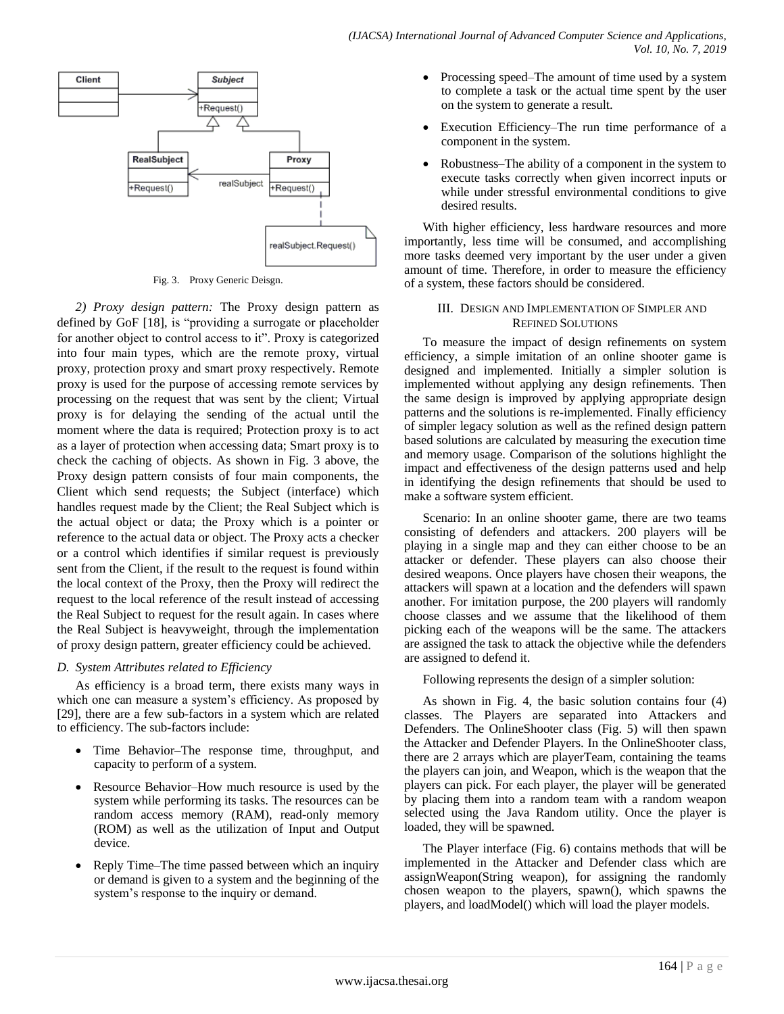

Fig. 3. Proxy Generic Deisgn.

*2) Proxy design pattern:* The Proxy design pattern as defined by GoF [18], is "providing a surrogate or placeholder for another object to control access to it". Proxy is categorized into four main types, which are the remote proxy, virtual proxy, protection proxy and smart proxy respectively. Remote proxy is used for the purpose of accessing remote services by processing on the request that was sent by the client; Virtual proxy is for delaying the sending of the actual until the moment where the data is required; Protection proxy is to act as a layer of protection when accessing data; Smart proxy is to check the caching of objects. As shown in Fig. 3 above, the Proxy design pattern consists of four main components, the Client which send requests; the Subject (interface) which handles request made by the Client; the Real Subject which is the actual object or data; the Proxy which is a pointer or reference to the actual data or object. The Proxy acts a checker or a control which identifies if similar request is previously sent from the Client, if the result to the request is found within the local context of the Proxy, then the Proxy will redirect the request to the local reference of the result instead of accessing the Real Subject to request for the result again. In cases where the Real Subject is heavyweight, through the implementation of proxy design pattern, greater efficiency could be achieved.

# *D. System Attributes related to Efficiency*

As efficiency is a broad term, there exists many ways in which one can measure a system's efficiency. As proposed by [29], there are a few sub-factors in a system which are related to efficiency. The sub-factors include:

- Time Behavior–The response time, throughput, and capacity to perform of a system.
- Resource Behavior–How much resource is used by the system while performing its tasks. The resources can be random access memory (RAM), read-only memory (ROM) as well as the utilization of Input and Output device.
- Reply Time–The time passed between which an inquiry or demand is given to a system and the beginning of the system's response to the inquiry or demand.
- Processing speed–The amount of time used by a system to complete a task or the actual time spent by the user on the system to generate a result.
- Execution Efficiency–The run time performance of a component in the system.
- Robustness–The ability of a component in the system to execute tasks correctly when given incorrect inputs or while under stressful environmental conditions to give desired results.

With higher efficiency, less hardware resources and more importantly, less time will be consumed, and accomplishing more tasks deemed very important by the user under a given amount of time. Therefore, in order to measure the efficiency of a system, these factors should be considered.

# III. DESIGN AND IMPLEMENTATION OF SIMPLER AND REFINED SOLUTIONS

To measure the impact of design refinements on system efficiency, a simple imitation of an online shooter game is designed and implemented. Initially a simpler solution is implemented without applying any design refinements. Then the same design is improved by applying appropriate design patterns and the solutions is re-implemented. Finally efficiency of simpler legacy solution as well as the refined design pattern based solutions are calculated by measuring the execution time and memory usage. Comparison of the solutions highlight the impact and effectiveness of the design patterns used and help in identifying the design refinements that should be used to make a software system efficient.

Scenario: In an online shooter game, there are two teams consisting of defenders and attackers. 200 players will be playing in a single map and they can either choose to be an attacker or defender. These players can also choose their desired weapons. Once players have chosen their weapons, the attackers will spawn at a location and the defenders will spawn another. For imitation purpose, the 200 players will randomly choose classes and we assume that the likelihood of them picking each of the weapons will be the same. The attackers are assigned the task to attack the objective while the defenders are assigned to defend it.

Following represents the design of a simpler solution:

As shown in Fig. 4, the basic solution contains four (4) classes. The Players are separated into Attackers and Defenders. The OnlineShooter class (Fig. 5) will then spawn the Attacker and Defender Players. In the OnlineShooter class, there are 2 arrays which are playerTeam, containing the teams the players can join, and Weapon, which is the weapon that the players can pick. For each player, the player will be generated by placing them into a random team with a random weapon selected using the Java Random utility. Once the player is loaded, they will be spawned.

The Player interface (Fig. 6) contains methods that will be implemented in the Attacker and Defender class which are assignWeapon(String weapon), for assigning the randomly chosen weapon to the players, spawn(), which spawns the players, and loadModel() which will load the player models.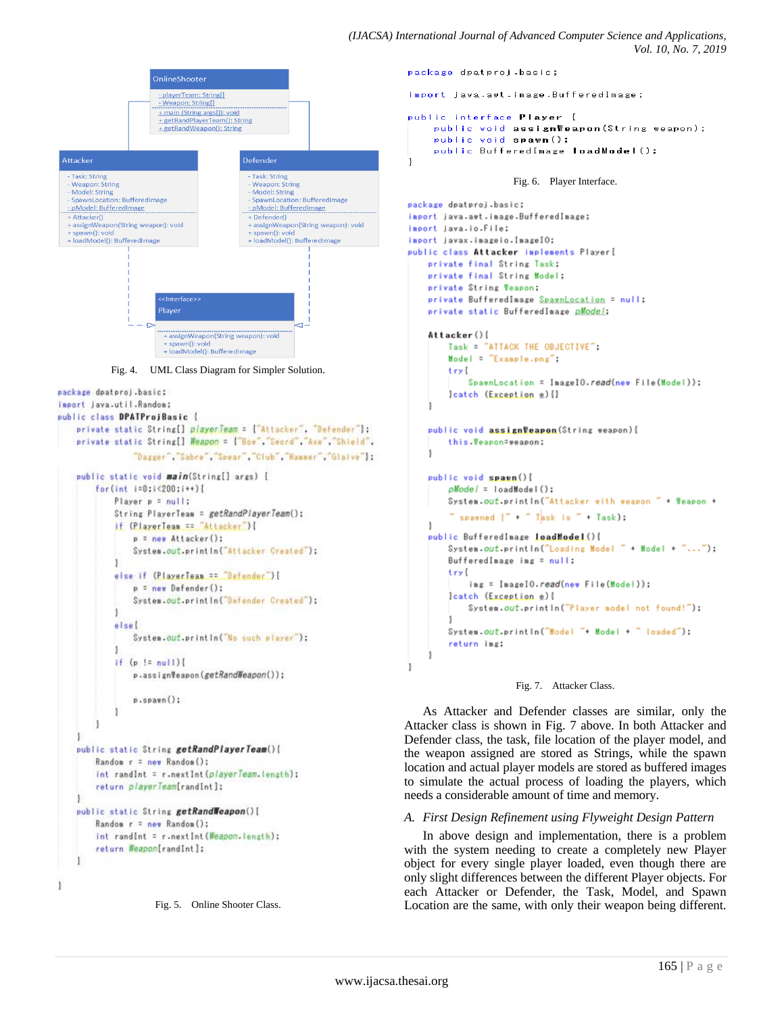```
OnlineShooter
                          - playerTeam: String[]
                          - Weapon: String[]
                          + main (String args[]): void
                          <u>+ main (String args) protot</u><br>+ getRandPlayerTeam(): String
                          + getRandWeapon(): String
 Attacker
                                                Defender
                                                   Task: String
   Task: String
   Weapon: String
                                                   Weapon: String
   Model: String<br>SpawnLocation: BufferedImage
                                                  Model: String<br>Model: String<br>SpawnLocation: BufferedImage
  - pModel: BufferedImage
                                                  - pModel: BufferedImage
  + Attacker()
                                                  + Defender()
  + assignWeapon(String weapon): void
                                                  + assignWeapon(String weapon): void
  + spawn(): void<br>+ spawn(): void<br>+ loadModel(): BufferedImage
                                                 + spawn(): void<br>+ spawn(): void<br>+ loadModel(): BufferedImage
                          Player
                            + snawn(); void
                           + loadModel(): BufferedImage
             Fig. 4. UML Class Diagram for Simpler Solution.
package dpatproj.basic;
import java.util.Random:
public class DPATProjBasic {
    private static String[] playerTeam = ["Attacker", "Defender"];
    private static String[] Weapon = ["Bow", "Sword", "Axe", "Shield",
                   "Dagger" "Sabre" "Spear" "Club" "Hammer" "Glaive":
    public static void main(String[] args) {
         for(int i=0; i < 200; i * ) {
              Player p = null:
              String PlayerTeam = getRandPlayerTeam();
              if (PlayerTeam == "Attacker"){
                   p = new Attacker();
                   System.out.println("Attacker Created");
              1
              else if (PlayerTeam == "Defender"){
                   p = new Defender();
                   System.out.println("Defender Created");
              ţ
              elsel
                   System.out.println("No such player"):
              J
              if (p := null)p.assignWeapon(getRandWeapon());
                   p.\text{span}():
              1
    public static String getRandPlayerTeam(){
         Random r = new Random ():
         int randInt = r.nextInt(playerTeam.length);
         return playerTeam[randInt];
    public static String getRandWeapon(){
         Random r = new Random();
         int randint = r.nextint(Weapon.length);
         return Weapon[randInt];
    J.
```

```
Fig. 5. Online Shooter Class.
```
*(IJACSA) International Journal of Advanced Computer Science and Applications, Vol. 10, No. 7, 2019*

package dpatproj.basic;

import java.awt.image.BufferedImage;

```
public interface Player {
    public void assignWeapon (String weapon);
    public void spawn();
    public BufferedImage loadModel();
J,
```
Fig. 6. Player Interface.

```
package dpatproj.basic:
import java.awt.image.BufferedImage;
import java.jo.File:
import javax.imageio.ImageIO:
public class Attacker implements Player{
    private final String Task:
    private final String Model:
    private String Teapon:
    private BufferedImage SpawnLocation = null:
    private static BufferedImage pModel:
    Attacker () {
        Task = "ATTACK THE OBJECTIVE":
        Model = "Example.png";
        tryl
            SpawnLocation = ImageIO.read(new File(Model));
        (catch (Exception e) {}
    ļ.
    public void assignVeapon(String weapon){
        this. Veapon=veapon:
    1
    public void spaun(){
        pModel = loadModel();
        System.out.println("Attacker with weapon " + Weapon +
        " spawned \vert " " " Task is " + Task);
    1
    public BufferedInage LoadModel(){
        System.out.println("Loading Model " + Model + "...");
        BufferedImage img = null;
        tryl
            ing = InageIO.read(new File(Model));
        leatch (Exception e){
            System.out.println("Player model not found!");
        System.out.println("Model "+ Model + " loaded");
        return img:
```


As Attacker and Defender classes are similar, only the Attacker class is shown in Fig. 7 above. In both Attacker and Defender class, the task, file location of the player model, and the weapon assigned are stored as Strings, while the spawn location and actual player models are stored as buffered images to simulate the actual process of loading the players, which needs a considerable amount of time and memory.

#### *A. First Design Refinement using Flyweight Design Pattern*

In above design and implementation, there is a problem with the system needing to create a completely new Player object for every single player loaded, even though there are only slight differences between the different Player objects. For each Attacker or Defender, the Task, Model, and Spawn Location are the same, with only their weapon being different.

J.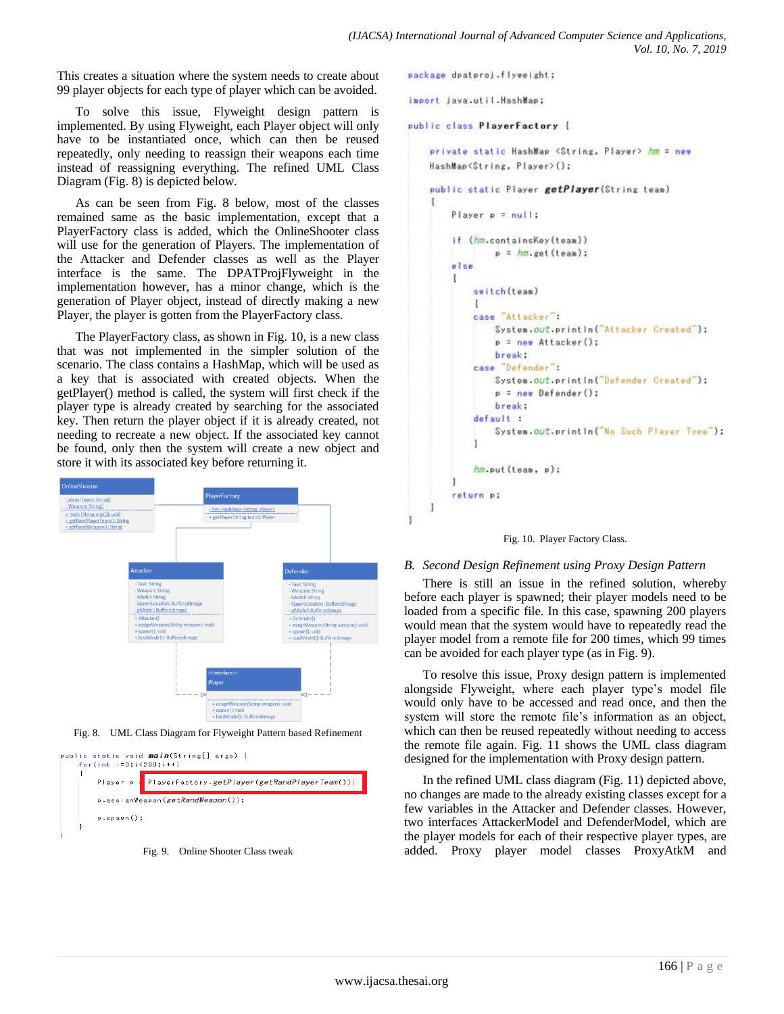This creates a situation where the system needs to create about 99 player objects for each type of player which can be avoided.

To solve this issue, Flyweight design pattern is implemented. By using Flyweight, each Player object will only have to be instantiated once, which can then be reused repeatedly, only needing to reassign their weapons each time instead of reassigning everything. The refined UML Class Diagram (Fig. 8) is depicted below.

As can be seen from Fig. 8 below, most of the classes remained same as the basic implementation, except that a PlayerFactory class is added, which the OnlineShooter class will use for the generation of Players. The implementation of the Attacker and Defender classes as well as the Player interface is the same. The DPATProjFlyweight in the implementation however, has a minor change, which is the generation of Player object, instead of directly making a new Player, the player is gotten from the PlayerFactory class.

The PlayerFactory class, as shown in Fig. 10, is a new class that was not implemented in the simpler solution of the scenario. The class contains a HashMap, which will be used as a key that is associated with created objects. When the getPlayer() method is called, the system will first check if the player type is already created by searching for the associated key. Then return the player object if it is already created, not needing to recreate a new object. If the associated key cannot be found, only then the system will create a new object and store it with its associated key before returning it.



Fig. 8. UML Class Diagram for Flyweight Pattern based Refinement





package dpatproj.flyweight;

inport java.util.HashMap:

```
public class PlayerFactory {
```
private static HashMap <String, Player> hm = new HashMap<String, Player>();

```
public static Player getPlayer(String team)
ţ
    Player p = null:
    if (hm.containsKey(team))
             p = hm.get(tean);else
    4
         switch(team)
         \mathbf{f}case "Attacker":
             System.out.println("Attacker Created");
             p = new Attacker();
             break:
         case "Defender":
             System.out.println("Defender Created");
             p = new Defender():
             break:
         default:
             System.out.println("No Such Player Type");
         hm.put(team, p);
    1
    return p;
\overline{\phantom{a}1}
```


## *B. Second Design Refinement using Proxy Design Pattern*

There is still an issue in the refined solution, whereby before each player is spawned; their player models need to be loaded from a specific file. In this case, spawning 200 players would mean that the system would have to repeatedly read the player model from a remote file for 200 times, which 99 times can be avoided for each player type (as in Fig. 9).

To resolve this issue, Proxy design pattern is implemented alongside Flyweight, where each player type's model file would only have to be accessed and read once, and then the system will store the remote file's information as an object, which can then be reused repeatedly without needing to access the remote file again. Fig. 11 shows the UML class diagram designed for the implementation with Proxy design pattern.

In the refined UML class diagram (Fig. 11) depicted above, no changes are made to the already existing classes except for a few variables in the Attacker and Defender classes. However, two interfaces AttackerModel and DefenderModel, which are the player models for each of their respective player types, are added. Proxy player model classes ProxyAtkM and

ł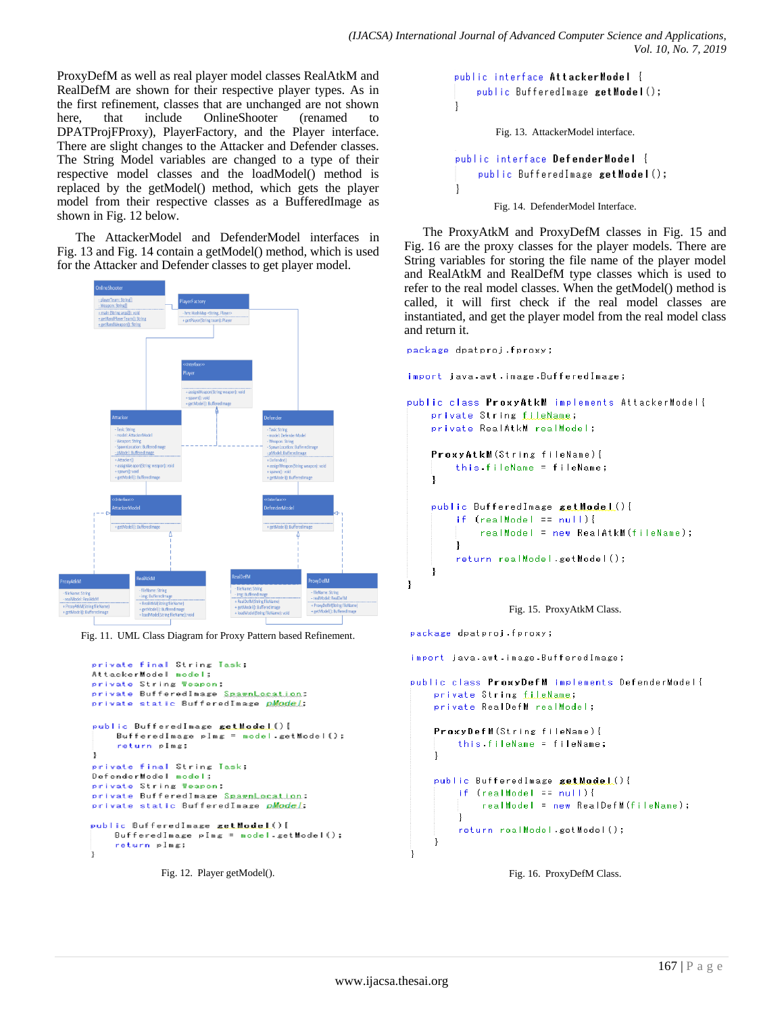ProxyDefM as well as real player model classes RealAtkM and RealDefM are shown for their respective player types. As in the first refinement, classes that are unchanged are not shown here, that include OnlineShooter (renamed to DPATProjFProxy), PlayerFactory, and the Player interface. There are slight changes to the Attacker and Defender classes. The String Model variables are changed to a type of their respective model classes and the loadModel() method is replaced by the getModel() method, which gets the player model from their respective classes as a BufferedImage as shown in Fig. 12 below.

The AttackerModel and DefenderModel interfaces in Fig. 13 and Fig. 14 contain a getModel() method, which is used for the Attacker and Defender classes to get player model.



Fig. 11. UML Class Diagram for Proxy Pattern based Refinement.

```
private final String Task:
AttackerModel model;
private String Weapon;
private BufferedImage SpawnLocation;
private static BufferedImage pModel;
public BufferedInage getHode L(){
    BufferedImage pImg = nodel.getModel();
    return plmg:
ı
private final String Task:
DefenderModel model:
private String Weapon;
private BufferedInage SpawnLocation;
private static BufferedInage pModel;
public BufferedInage getModel(){
    BufferedImage pImg = nodel.getModel();
    return plmg;
Ţ
```
Fig. 12. Player getModel().

```
public interface AttackerModel {
    public BufferedImage getModel();
-1
        Fig. 13. AttackerModel interface.
public interface DefenderModel {
    public BufferedImage getModel();
<sup>1</sup>
       Fig. 14. DefenderModel Interface.
```
The ProxyAtkM and ProxyDefM classes in Fig. 15 and Fig. 16 are the proxy classes for the player models. There are String variables for storing the file name of the player model and RealAtkM and RealDefM type classes which is used to refer to the real model classes. When the getModel() method is called, it will first check if the real model classes are instantiated, and get the player model from the real model class and return it.

```
package dpatproi.fproxy:
import java.awt.image.BufferedImage;
public class ProxyAtkM implements AttackerModel{
    private String fileName;
    private RealAtkM realModel;
    ProxyAtkM(String fileName){
        this fileName = fileName;
    <sup>1</sup>
    public BufferedImage setModel(){
        if (realModel == null)realModel = new RealAtkM(fileName);
        J.
        return realModel.getModel();
```


package dpatproj.fproxy;

<sup>1</sup>

import java.awt.image.BufferedImage;

```
public class ProxyDefM implements DefenderModel{
    private String fileName;
    private RealDefM realModel;
    ProxyDefM(String fileName){
        this.fileName = fileName;
    -1
    public BufferedImage setModel(){
        if (rearModel = null)realModel = new RealDefM(fileName);
        \mathcal{E}return realModel.getModel();
```
Fig. 16. ProxyDefM Class.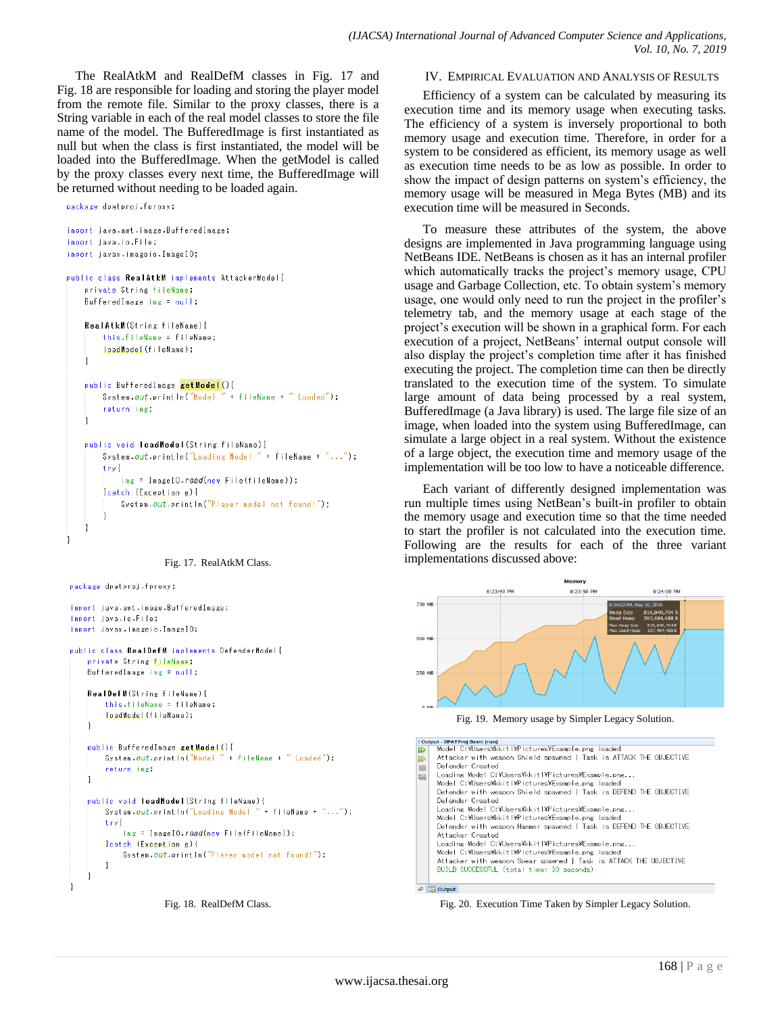The RealAtkM and RealDefM classes in Fig. 17 and Fig. 18 are responsible for loading and storing the player model from the remote file. Similar to the proxy classes, there is a String variable in each of the real model classes to store the file name of the model. The BufferedImage is first instantiated as null but when the class is first instantiated, the model will be loaded into the BufferedImage. When the getModel is called by the proxy classes every next time, the BufferedImage will be returned without needing to be loaded again.

```
package dpatproj.fproxy;
```

```
import java.awt.image.BufferedImage;
import iava.in.File:
import javax.imageio.ImageIO;
public class RealAtkM implements AttackerModel{
    private String fileName:
    BufferedImage img = null;
    RealAtkM(String fileName){
        this fileName = fileName;
        LoadModel(fileName);
    \mathbf{1}public BufferedImage getModel(){
        System.out.println("Model " + fileName + " Loaded");
        return img;
    \mathbf{1}public void loadModel (String fileName) {
        System.out.println("Loading Model " + fileName + "...");
        try{
            img = ImageIO.read(new File(fileName));
        leatch (Exception e){
            System.out.println("Player model not found!");
    l.
```


```
package dpatproj.fproxy;
```

```
import java.awt.image.BufferedImage;
import java.io.File;
import javax.imageio.ImageIO;
public class RealDefM implements DefenderModel{
   private String fileName:
   BufferedImage img = null;
    RealDefM(String fileName){
        this fileName = fileName;
        LoadModel(fileName);
   \mathbf{I}public BufferedImage getModeL(){
       System.out.println("Model " + fileName + " Loaded");
        return img.
   \mathbf{I}public void loadModel(String fileName){
       System.out.println("Loading Model " + fileName + "...");
        try {
            img = ImageIO.read(new File(fileName));
        leatch (Exception e){
            System.out.println("Player model not found!");
```
Fig. 18. RealDefM Class.

#### IV. EMPIRICAL EVALUATION AND ANALYSIS OF RESULTS

Efficiency of a system can be calculated by measuring its execution time and its memory usage when executing tasks. The efficiency of a system is inversely proportional to both memory usage and execution time. Therefore, in order for a system to be considered as efficient, its memory usage as well as execution time needs to be as low as possible. In order to show the impact of design patterns on system's efficiency, the memory usage will be measured in Mega Bytes (MB) and its execution time will be measured in Seconds.

To measure these attributes of the system, the above designs are implemented in Java programming language using NetBeans IDE. NetBeans is chosen as it has an internal profiler which automatically tracks the project's memory usage, CPU usage and Garbage Collection, etc. To obtain system's memory usage, one would only need to run the project in the profiler's telemetry tab, and the memory usage at each stage of the project's execution will be shown in a graphical form. For each execution of a project, NetBeans' internal output console will also display the project's completion time after it has finished executing the project. The completion time can then be directly translated to the execution time of the system. To simulate large amount of data being processed by a real system, BufferedImage (a Java library) is used. The large file size of an image, when loaded into the system using BufferedImage, can simulate a large object in a real system. Without the existence of a large object, the execution time and memory usage of the implementation will be too low to have a noticeable difference.

Each variant of differently designed implementation was run multiple times using NetBean's built-in profiler to obtain the memory usage and execution time so that the time needed to start the profiler is not calculated into the execution time. Following are the results for each of the three variant implementations discussed above:



Fig. 19. Memory usage by Simpler Legacy Solution.

| : Output - DPATProi Basic (run) |                                                                    |  |
|---------------------------------|--------------------------------------------------------------------|--|
| $\mathbb{D}$                    | Model C:¥Users¥kkitl¥Pictures¥Example.png loaded                   |  |
| $\mathbb{D}$                    | Attacker with weapon Shield spawned   Task is ATTACK THE OBJECTIVE |  |
|                                 | Defender Created                                                   |  |
|                                 | Loading Model C:\Users\kkitI\Pictures\Fxample.png                  |  |
| 器                               | Model C:\Users\kkitl\Pictures\Example.png loaded                   |  |
|                                 |                                                                    |  |
|                                 | Defender with weapon Shield spawned   Task is DEFEND THE OBJECTIVE |  |
|                                 | Defender Created                                                   |  |
|                                 | Loading Model C:¥Users¥kkitl¥Pictures¥Example.png                  |  |
|                                 | Model C:¥Users¥kkitl¥Pictures¥Example.png loaded                   |  |
|                                 |                                                                    |  |
|                                 | Defender with weapon Hammer spawned   Task is DEFEND THE OBJECTIVE |  |
|                                 | Attacker Created                                                   |  |
|                                 | Loading Model C:\Users\kkitI\Pictures\Fxample.png                  |  |
|                                 | Model C:\Users\kkitI\Pictures\Example.png loaded                   |  |
|                                 |                                                                    |  |
|                                 | Attacker with weapon Spear spawned   Task is ATTACK THE OBJECTIVE  |  |
|                                 | BUILD SUCCESSFUL (total time: 30 seconds)                          |  |
|                                 |                                                                    |  |
|                                 |                                                                    |  |
| Ð.                              | <b>B</b> Output                                                    |  |

Fig. 20. Execution Time Taken by Simpler Legacy Solution.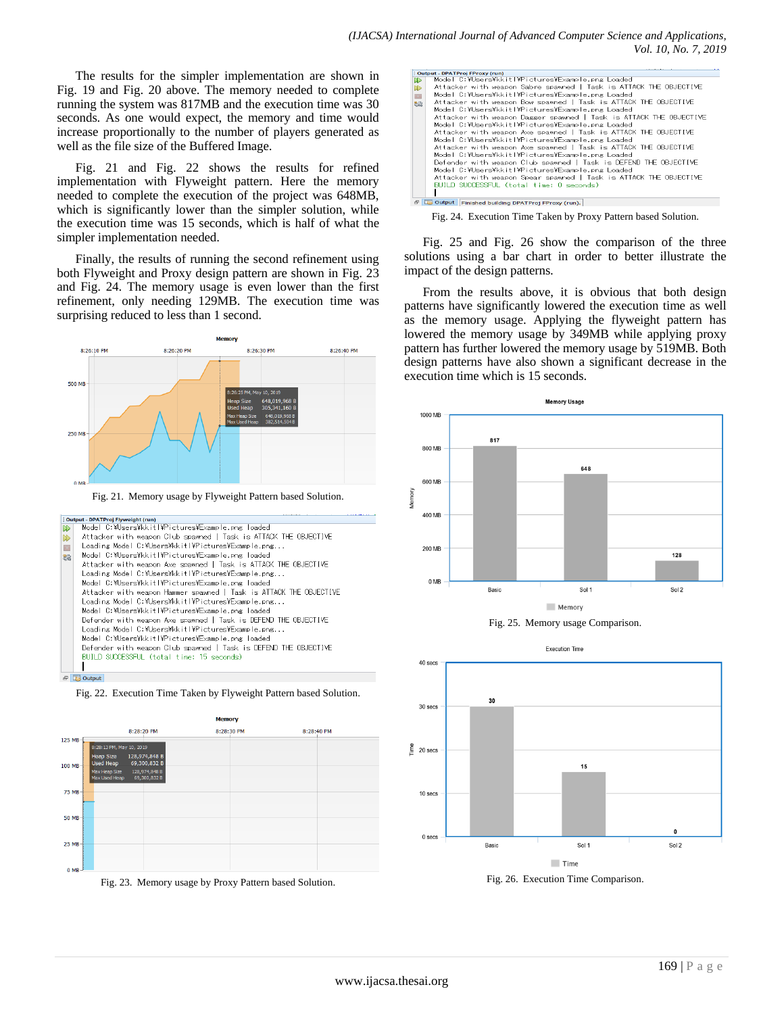The results for the simpler implementation are shown in Fig. 19 and Fig. 20 above. The memory needed to complete running the system was 817MB and the execution time was 30 seconds. As one would expect, the memory and time would increase proportionally to the number of players generated as well as the file size of the Buffered Image.

Fig. 21 and Fig. 22 shows the results for refined implementation with Flyweight pattern. Here the memory needed to complete the execution of the project was 648MB, which is significantly lower than the simpler solution, while the execution time was 15 seconds, which is half of what the simpler implementation needed.

Finally, the results of running the second refinement using both Flyweight and Proxy design pattern are shown in Fig. 23 and Fig. 24. The memory usage is even lower than the first refinement, only needing 129MB. The execution time was surprising reduced to less than 1 second.



Fig. 21. Memory usage by Flyweight Pattern based Solution.









Fig. 24. Execution Time Taken by Proxy Pattern based Solution.

Fig. 25 and Fig. 26 show the comparison of the three solutions using a bar chart in order to better illustrate the impact of the design patterns.

From the results above, it is obvious that both design patterns have significantly lowered the execution time as well as the memory usage. Applying the flyweight pattern has lowered the memory usage by 349MB while applying proxy pattern has further lowered the memory usage by 519MB. Both design patterns have also shown a significant decrease in the execution time which is 15 seconds.







Fig. 26. Execution Time Comparison.